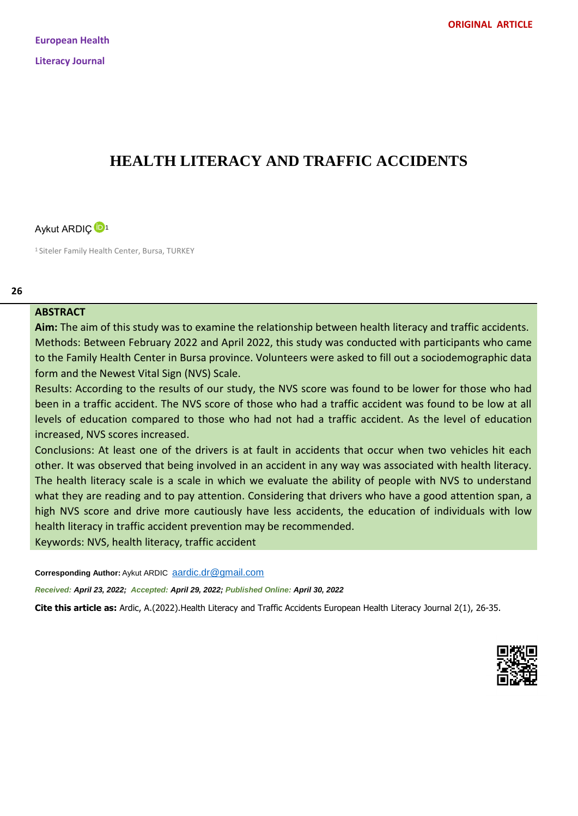# **HEALTH LITERACY AND TRAFFIC ACCIDENTS**



<sup>1</sup> Siteler Family Health Center, Bursa, TURKEY

#### **26**

#### **ABSTRACT**

**Aim:** The aim of this study was to examine the relationship between health literacy and traffic accidents. Methods: Between February 2022 and April 2022, this study was conducted with participants who came to the Family Health Center in Bursa province. Volunteers were asked to fill out a sociodemographic data form and the Newest Vital Sign (NVS) Scale.

Results: According to the results of our study, the NVS score was found to be lower for those who had been in a traffic accident. The NVS score of those who had a traffic accident was found to be low at all levels of education compared to those who had not had a traffic accident. As the level of education increased, NVS scores increased.

Conclusions: At least one of the drivers is at fault in accidents that occur when two vehicles hit each other. It was observed that being involved in an accident in any way was associated with health literacy. The health literacy scale is a scale in which we evaluate the ability of people with NVS to understand what they are reading and to pay attention. Considering that drivers who have a good attention span, a high NVS score and drive more cautiously have less accidents, the education of individuals with low health literacy in traffic accident prevention may be recommended.

Keywords: NVS, health literacy, traffic accident

Corresponding Author: Aykut ARDIC [aardic.dr@gmail.com](file:///C:/Users/EREM/Desktop/aardic.dr@gmail.com)

*Received: April 23, 2022; Accepted: April 29, 2022; Published Online: April 30, 2022*

**Cite this article as:** Ardic, A.(2022).Health Literacy and Traffic Accidents European Health Literacy Journal 2(1), 26-35.

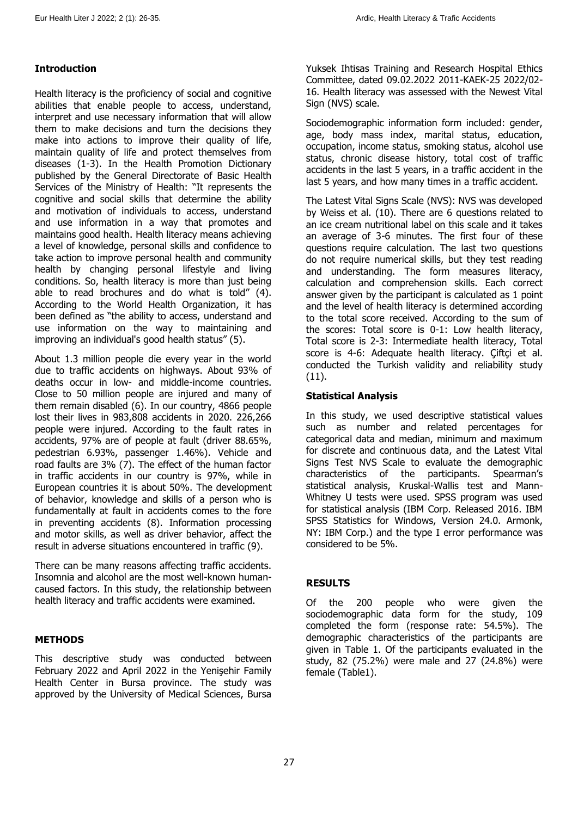# **Introduction**

Health literacy is the proficiency of social and cognitive abilities that enable people to access, understand, interpret and use necessary information that will allow them to make decisions and turn the decisions they make into actions to improve their quality of life, maintain quality of life and protect themselves from diseases (1-3). In the Health Promotion Dictionary published by the General Directorate of Basic Health Services of the Ministry of Health: "It represents the cognitive and social skills that determine the ability and motivation of individuals to access, understand and use information in a way that promotes and maintains good health. Health literacy means achieving a level of knowledge, personal skills and confidence to take action to improve personal health and community health by changing personal lifestyle and living conditions. So, health literacy is more than just being able to read brochures and do what is told" (4). According to the World Health Organization, it has been defined as "the ability to access, understand and use information on the way to maintaining and improving an individual's good health status" (5).

About 1.3 million people die every year in the world due to traffic accidents on highways. About 93% of deaths occur in low- and middle-income countries. Close to 50 million people are injured and many of them remain disabled (6). In our country, 4866 people lost their lives in 983,808 accidents in 2020. 226,266 people were injured. According to the fault rates in accidents, 97% are of people at fault (driver 88.65%, pedestrian 6.93%, passenger 1.46%). Vehicle and road faults are 3% (7). The effect of the human factor in traffic accidents in our country is 97%, while in European countries it is about 50%. The development of behavior, knowledge and skills of a person who is fundamentally at fault in accidents comes to the fore in preventing accidents (8). Information processing and motor skills, as well as driver behavior, affect the result in adverse situations encountered in traffic (9).

There can be many reasons affecting traffic accidents. Insomnia and alcohol are the most well-known humancaused factors. In this study, the relationship between health literacy and traffic accidents were examined.

# **METHODS**

This descriptive study was conducted between February 2022 and April 2022 in the Yenişehir Family Health Center in Bursa province. The study was approved by the University of Medical Sciences, Bursa

Yuksek Ihtisas Training and Research Hospital Ethics Committee, dated 09.02.2022 2011-KAEK-25 2022/02- 16. Health literacy was assessed with the Newest Vital Sign (NVS) scale.

Sociodemographic information form included: gender, age, body mass index, marital status, education, occupation, income status, smoking status, alcohol use status, chronic disease history, total cost of traffic accidents in the last 5 years, in a traffic accident in the last 5 years, and how many times in a traffic accident.

The Latest Vital Signs Scale (NVS): NVS was developed by Weiss et al. (10). There are 6 questions related to an ice cream nutritional label on this scale and it takes an average of 3-6 minutes. The first four of these questions require calculation. The last two questions do not require numerical skills, but they test reading and understanding. The form measures literacy, calculation and comprehension skills. Each correct answer given by the participant is calculated as 1 point and the level of health literacy is determined according to the total score received. According to the sum of the scores: Total score is 0-1: Low health literacy, Total score is 2-3: Intermediate health literacy, Total score is 4-6: Adequate health literacy. Çiftçi et al. conducted the Turkish validity and reliability study (11).

## **Statistical Analysis**

In this study, we used descriptive statistical values such as number and related percentages for categorical data and median, minimum and maximum for discrete and continuous data, and the Latest Vital Signs Test NVS Scale to evaluate the demographic characteristics of the participants. Spearman's statistical analysis, Kruskal-Wallis test and Mann-Whitney U tests were used. SPSS program was used for statistical analysis (IBM Corp. Released 2016. IBM SPSS Statistics for Windows, Version 24.0. Armonk, NY: IBM Corp.) and the type I error performance was considered to be 5%.

# **RESULTS**

Of the 200 people who were given the sociodemographic data form for the study, 109 completed the form (response rate: 54.5%). The demographic characteristics of the participants are given in Table 1. Of the participants evaluated in the study, 82 (75.2%) were male and 27 (24.8%) were female (Table1).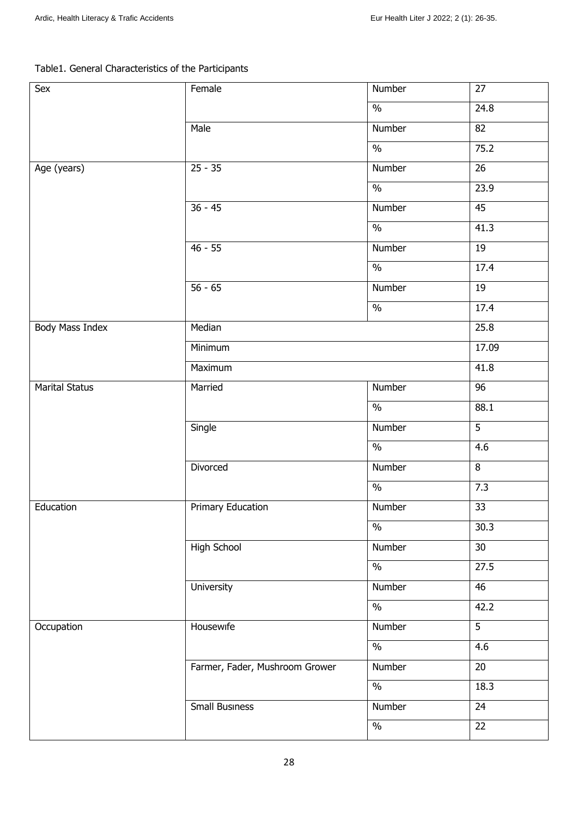# Table1. General Characteristics of the Participants

| Sex             | Female                         | Number                   | 27                |  |  |
|-----------------|--------------------------------|--------------------------|-------------------|--|--|
|                 |                                | $\%$                     | $24.\overline{8}$ |  |  |
|                 | Male                           | Number                   | 82                |  |  |
|                 |                                | $\%$                     | 75.2              |  |  |
| Age (years)     | $25 - 35$                      | Number                   | 26                |  |  |
|                 |                                | $\frac{0}{0}$            | 23.9              |  |  |
|                 | $36 - 45$                      | Number                   | 45                |  |  |
|                 |                                | $\frac{1}{2}$            | 41.3              |  |  |
|                 | $46 - 55$                      | Number                   | 19                |  |  |
|                 |                                | $\frac{1}{2}$            | 17.4              |  |  |
|                 | $56 - 65$                      | Number                   | 19                |  |  |
|                 |                                | $\frac{1}{2}$            | 17.4              |  |  |
| Body Mass Index | Median                         |                          | 25.8              |  |  |
|                 | Minimum                        | 17.09                    |                   |  |  |
|                 | Maximum                        |                          |                   |  |  |
| Marital Status  | Married                        | Number                   | 96                |  |  |
|                 |                                | $\frac{1}{2}$            | 88.1              |  |  |
|                 | Single                         | Number                   | $\overline{5}$    |  |  |
|                 |                                | $\overline{\frac{0}{6}}$ | 4.6               |  |  |
|                 | Divorced                       | Number                   | $\overline{8}$    |  |  |
|                 |                                | $\frac{1}{2}$            | 7.3               |  |  |
| Education       | Primary Education              | Number                   | $\overline{33}$   |  |  |
|                 |                                | $\%$                     | 30.3              |  |  |
|                 | <b>High School</b>             | Number                   | 30                |  |  |
|                 |                                | $\%$                     | 27.5              |  |  |
|                 | University                     | Number                   | 46                |  |  |
|                 |                                | $\%$                     | 42.2              |  |  |
| Occupation      | Housewife                      | Number                   | $\overline{5}$    |  |  |
|                 |                                | $\frac{0}{6}$            | 4.6               |  |  |
|                 | Farmer, Fader, Mushroom Grower | Number                   | $\overline{20}$   |  |  |
|                 |                                | $\frac{1}{2}$            | 18.3              |  |  |
|                 | Small Business                 | Number                   | 24                |  |  |
|                 |                                | $\frac{1}{2}$            | $\overline{22}$   |  |  |
|                 |                                |                          |                   |  |  |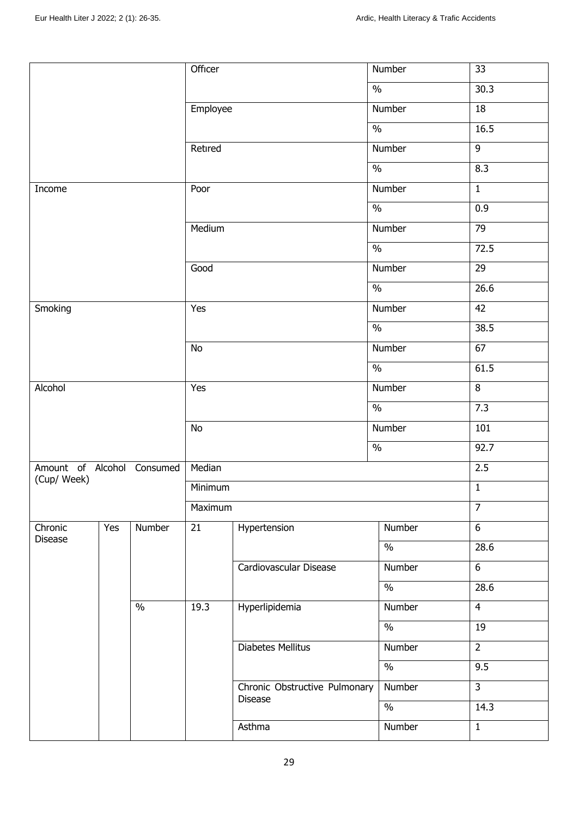|                                           |     |        | Officer  |                               | Number                   | 33              |
|-------------------------------------------|-----|--------|----------|-------------------------------|--------------------------|-----------------|
|                                           |     |        |          |                               | $\%$                     | 30.3            |
|                                           |     |        | Employee |                               | Number                   | $\overline{18}$ |
|                                           |     |        |          |                               | $\frac{0}{0}$            | 16.5            |
|                                           |     |        | Retıred  |                               | Number                   | $\overline{9}$  |
|                                           |     |        |          |                               | $\frac{0}{0}$            | 8.3             |
| Income                                    |     |        | Poor     |                               | Number                   | $\mathbf{1}$    |
|                                           |     |        |          |                               | $\frac{1}{2}$            | 0.9             |
|                                           |     |        | Medium   |                               | Number                   | 79              |
|                                           |     |        |          |                               | $\frac{1}{2}$            | 72.5            |
|                                           |     |        | Good     |                               | Number                   | 29              |
|                                           |     |        |          |                               | $\frac{1}{2}$            | 26.6            |
| Smoking                                   |     |        | Yes      |                               | Number                   | 42              |
|                                           |     |        |          |                               | $\frac{1}{2}$            | 38.5            |
|                                           |     |        |          |                               | Number                   | 67              |
|                                           |     |        |          |                               | $\frac{1}{2}$            | 61.5            |
| Alcohol                                   |     |        | Yes      |                               | Number                   | 8               |
|                                           |     |        |          |                               | $\frac{1}{2}$            | 7.3             |
|                                           |     |        | No       |                               | Number                   | 101             |
|                                           |     |        |          |                               | $\frac{0}{6}$            | 92.7            |
| Amount of Alcohol Consumed<br>(Cup/ Week) |     |        | Median   |                               |                          | 2.5             |
|                                           |     |        | Minimum  |                               |                          | $\overline{1}$  |
|                                           |     |        | Maximum  |                               |                          | $\overline{7}$  |
| Chronic<br><b>Disease</b>                 | Yes | Number | 21       | Hypertension                  | Number                   | 6               |
|                                           |     |        |          |                               | $\frac{0}{0}$            | 28.6            |
|                                           |     |        |          | Cardiovascular Disease        | Number                   | 6               |
|                                           |     |        |          |                               | $\frac{0}{0}$            | 28.6            |
|                                           |     | $\%$   | 19.3     | Hyperlipidemia                | Number                   | $\overline{4}$  |
|                                           |     |        |          |                               | $\overline{\frac{9}{0}}$ | 19              |
|                                           |     |        |          | <b>Diabetes Mellitus</b>      | Number                   | $\overline{2}$  |
|                                           |     |        |          |                               |                          | $\frac{0}{0}$   |
|                                           |     |        |          | Chronic Obstructive Pulmonary | Number                   | $\overline{3}$  |
|                                           |     |        |          | Disease                       | $\frac{1}{2}$            | 14.3            |
|                                           |     |        |          | Asthma                        | Number                   | $\mathbf{1}$    |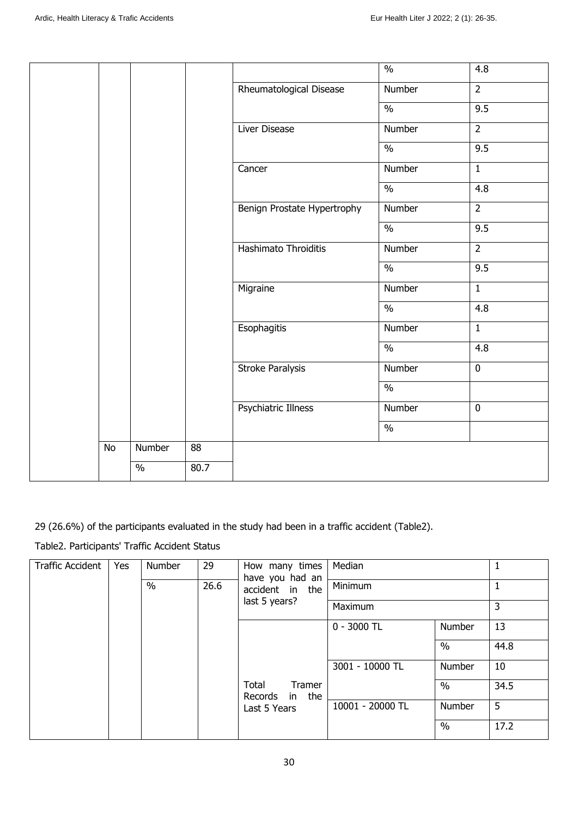|           |        |                 |                             | $\frac{0}{6}$            | $\overline{4.8}$ |
|-----------|--------|-----------------|-----------------------------|--------------------------|------------------|
|           |        |                 | Rheumatological Disease     | Number                   | $\overline{2}$   |
|           |        |                 |                             | $\frac{0}{6}$            | 9.5              |
|           |        |                 | Liver Disease               | Number                   | $\overline{2}$   |
|           |        |                 |                             | $\frac{1}{2}$            | 9.5              |
|           |        |                 | Cancer                      | Number                   | $\mathbf{1}$     |
|           |        |                 |                             | $\frac{1}{2}$            | $\overline{4.8}$ |
|           |        |                 | Benign Prostate Hypertrophy | Number                   | $\overline{2}$   |
|           |        |                 |                             | $\overline{\frac{0}{6}}$ | 9.5              |
|           |        |                 | Hashimato Throiditis        | Number                   | $\overline{2}$   |
|           |        |                 |                             | $\overline{\frac{0}{6}}$ | 9.5              |
|           |        |                 | Migraine                    | Number                   | $\mathbf{1}$     |
|           |        |                 |                             | $\frac{0}{6}$            | 4.8              |
|           |        |                 | Esophagitis                 | Number                   | $\mathbf{1}$     |
|           |        |                 |                             | $\frac{0}{6}$            | 4.8              |
|           |        |                 | <b>Stroke Paralysis</b>     | Number                   | $\overline{0}$   |
|           |        |                 |                             | $\overline{\frac{0}{6}}$ |                  |
|           |        |                 | <b>Psychiatric Illness</b>  | Number                   | $\pmb{0}$        |
|           |        |                 |                             | $\frac{0}{0}$            |                  |
| <b>No</b> | Number | $\overline{88}$ |                             |                          |                  |
|           | $\%$   | 80.7            |                             |                          |                  |

29 (26.6%) of the participants evaluated in the study had been in a traffic accident (Table2).

Table2. Participants' Traffic Accident Status

| <b>Traffic Accident</b><br>Yes | Number       |                 | 29               | How many times<br>have you had an | Median                            |               | 1    |      |
|--------------------------------|--------------|-----------------|------------------|-----------------------------------|-----------------------------------|---------------|------|------|
|                                | 26.6<br>$\%$ | accident in the | Minimum          |                                   |                                   |               |      |      |
|                                |              |                 |                  | last 5 years?<br>Maximum          |                                   |               | 3    |      |
|                                |              |                 |                  |                                   | $0 - 3000$ TL                     | Number        | 13   |      |
|                                |              |                 |                  |                                   | $\%$                              | 44.8          |      |      |
|                                |              |                 | 3001 - 10000 TL  | Number                            | 10                                |               |      |      |
|                                |              |                 |                  |                                   | Total<br>Tramer<br>Records in the |               | $\%$ | 34.5 |
|                                |              | Last 5 Years    | 10001 - 20000 TL | Number                            | 5                                 |               |      |      |
|                                |              |                 |                  |                                   |                                   | $\frac{0}{0}$ | 17.2 |      |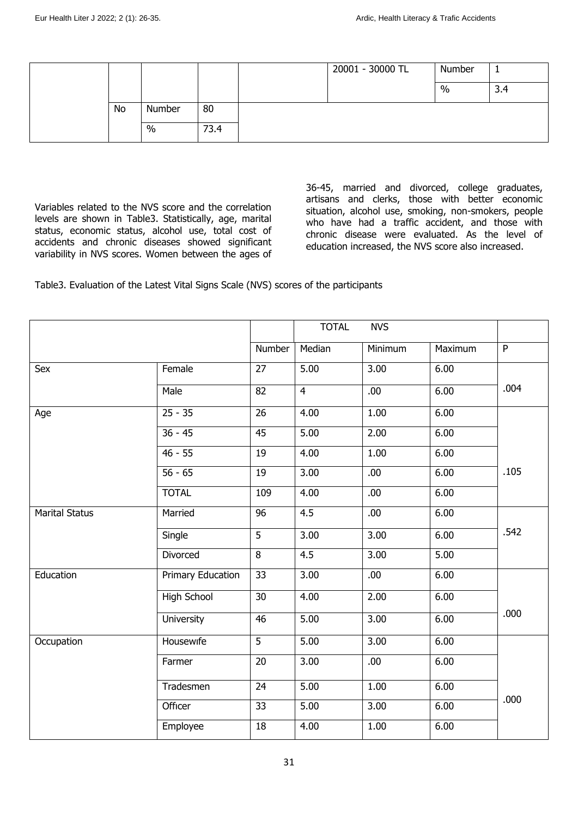|    |        |      | 20001 - 30000 TL | Number |     |
|----|--------|------|------------------|--------|-----|
|    |        |      |                  | $\%$   | 3.4 |
| No | Number | 80   |                  |        |     |
|    | $\%$   | 73.4 |                  |        |     |

Variables related to the NVS score and the correlation levels are shown in Table3. Statistically, age, marital status, economic status, alcohol use, total cost of accidents and chronic diseases showed significant variability in NVS scores. Women between the ages of

36-45, married and divorced, college graduates, artisans and clerks, those with better economic situation, alcohol use, smoking, non-smokers, people who have had a traffic accident, and those with chronic disease were evaluated. As the level of education increased, the NVS score also increased.

Table3. Evaluation of the Latest Vital Signs Scale (NVS) scores of the participants

|                       |                   |                 | <b>TOTAL</b>   | <b>NVS</b> |         |              |
|-----------------------|-------------------|-----------------|----------------|------------|---------|--------------|
|                       |                   | Number          | Median         | Minimum    | Maximum | $\mathsf{P}$ |
| Sex                   | Female            | 27              | 5.00           | 3.00       | 6.00    |              |
|                       | Male              | $\overline{82}$ | $\overline{4}$ | .00        | 6.00    | .004         |
| Age                   | $25 - 35$         | 26              | 4.00           | 1.00       | 6.00    |              |
|                       | $36 - 45$         | 45              | 5.00           | 2.00       | 6.00    |              |
|                       | $46 - 55$         | 19              | 4.00           | 1.00       | 6.00    |              |
|                       | $56 - 65$         | 19              | 3.00           | .00        | 6.00    | .105         |
|                       | <b>TOTAL</b>      | 109             | 4.00           | .00        | 6.00    |              |
| <b>Marital Status</b> | Married           | 96              | 4.5            | .00.       | 6.00    |              |
|                       | Single            | $\overline{5}$  | 3.00           | 3.00       | 6.00    | .542         |
|                       | Divorced          | $\overline{8}$  | 4.5            | 3.00       | 5.00    |              |
| Education             | Primary Education | 33              | 3.00           | .00        | 6.00    |              |
|                       | High School       | 30              | 4.00           | 2.00       | 6.00    |              |
|                       | University        | 46              | 5.00           | 3.00       | 6.00    | .000         |
| Occupation            | Housewife         | 5               | 5.00           | 3.00       | 6.00    |              |
|                       | Farmer            | 20              | 3.00           | .00.       | 6.00    |              |
|                       | Tradesmen         | $\overline{24}$ | 5.00           | 1.00       | 6.00    |              |
|                       | Officer           | 33              | 5.00           | 3.00       | 6.00    | .000         |
|                       | Employee          | 18              | 4.00           | 1.00       | 6.00    |              |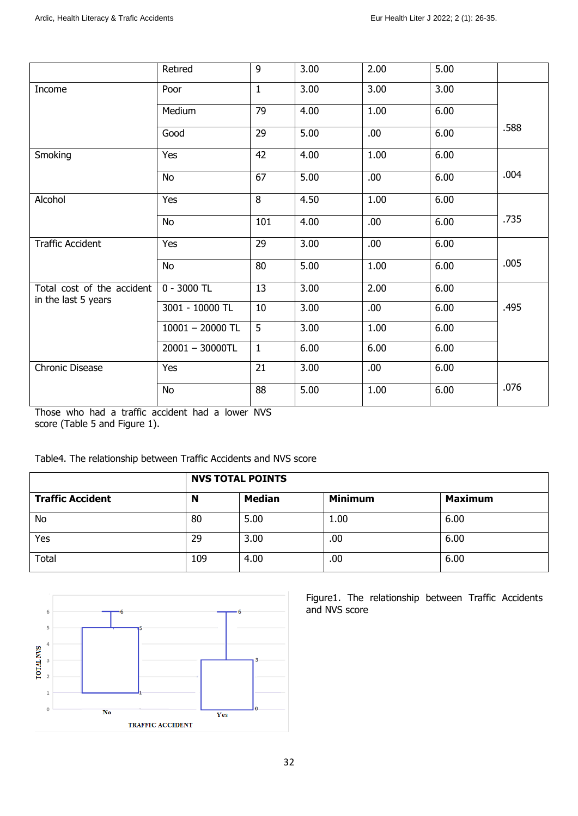|                            | Retired            | 9            | 3.00 | 2.00 | 5.00 |      |
|----------------------------|--------------------|--------------|------|------|------|------|
| Income                     | Poor               | $\mathbf{1}$ | 3.00 | 3.00 | 3.00 |      |
|                            | Medium             | 79           | 4.00 | 1.00 | 6.00 |      |
|                            | Good               | 29           | 5.00 | .00. | 6.00 | .588 |
| Smoking                    | Yes                | 42           | 4.00 | 1.00 | 6.00 |      |
|                            | <b>No</b>          | 67           | 5.00 | .00. | 6.00 | .004 |
| Alcohol                    | Yes                | 8            | 4.50 | 1.00 | 6.00 |      |
|                            | <b>No</b>          | 101          | 4.00 | .00. | 6.00 | .735 |
| <b>Traffic Accident</b>    | Yes                | 29           | 3.00 | .00. | 6.00 |      |
|                            | No                 | 80           | 5.00 | 1.00 | 6.00 | .005 |
| Total cost of the accident | $0 - 3000$ TL      | 13           | 3.00 | 2.00 | 6.00 |      |
| in the last 5 years        | 3001 - 10000 TL    | 10           | 3.00 | .00. | 6.00 | .495 |
|                            | $10001 - 20000$ TL | 5            | 3.00 | 1.00 | 6.00 |      |
|                            | $20001 - 30000TL$  | $\mathbf{1}$ | 6.00 | 6.00 | 6.00 |      |
| <b>Chronic Disease</b>     | Yes                | 21           | 3.00 | .00. | 6.00 |      |
|                            | No                 | 88           | 5.00 | 1.00 | 6.00 | .076 |

Those who had a traffic accident had a lower NVS score (Table 5 and Figure 1).

Table4. The relationship between Traffic Accidents and NVS score

|                         |     | <b>NVS TOTAL POINTS</b> |                |                |
|-------------------------|-----|-------------------------|----------------|----------------|
| <b>Traffic Accident</b> | N   | <b>Median</b>           | <b>Minimum</b> | <b>Maximum</b> |
| <b>No</b>               | 80  | 5.00                    | 1.00           | 6.00           |
| Yes                     | 29  | 3.00                    | .00            | 6.00           |
| Total                   | 109 | 4.00                    | .00            | 6.00           |



Figure1. The relationship between Traffic Accidents and NVS score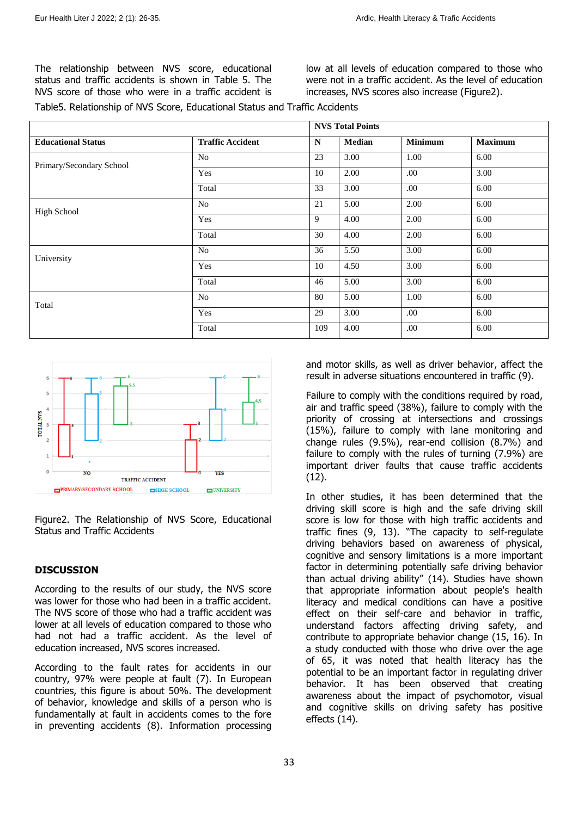The relationship between NVS score, educational status and traffic accidents is shown in Table 5. The NVS score of those who were in a traffic accident is

low at all levels of education compared to those who were not in a traffic accident. As the level of education increases, NVS scores also increase (Figure2).

Table5. Relationship of NVS Score, Educational Status and Traffic Accidents

|                           |                         | <b>NVS Total Points</b> |        |                |                |
|---------------------------|-------------------------|-------------------------|--------|----------------|----------------|
| <b>Educational Status</b> | <b>Traffic Accident</b> | N                       | Median | <b>Minimum</b> | <b>Maximum</b> |
| Primary/Secondary School  | N <sub>o</sub>          | 23                      | 3.00   | 1.00           | 6.00           |
|                           | Yes                     | 10                      | 2.00   | .00.           | 3.00           |
|                           | Total                   | 33                      | 3.00   | .00            | 6.00           |
| <b>High School</b>        | No                      | 21                      | 5.00   | 2.00           | 6.00           |
|                           | Yes                     | 9                       | 4.00   | 2.00           | 6.00           |
|                           | Total                   | 30                      | 4.00   | 2.00           | 6.00           |
| University                | N <sub>o</sub>          | 36                      | 5.50   | 3.00           | 6.00           |
|                           | Yes                     | 10                      | 4.50   | 3.00           | 6.00           |
|                           | Total                   | 46                      | 5.00   | 3.00           | 6.00           |
| Total                     | N <sub>o</sub>          | 80                      | 5.00   | 1.00           | 6.00           |
|                           | Yes                     | 29                      | 3.00   | .00.           | 6.00           |
|                           | Total                   | 109                     | 4.00   | .00            | 6.00           |



Figure2. The Relationship of NVS Score, Educational Status and Traffic Accidents

#### **DISCUSSION**

According to the results of our study, the NVS score was lower for those who had been in a traffic accident. The NVS score of those who had a traffic accident was lower at all levels of education compared to those who had not had a traffic accident. As the level of education increased, NVS scores increased.

According to the fault rates for accidents in our country, 97% were people at fault (7). In European countries, this figure is about 50%. The development of behavior, knowledge and skills of a person who is fundamentally at fault in accidents comes to the fore in preventing accidents (8). Information processing

and motor skills, as well as driver behavior, affect the result in adverse situations encountered in traffic (9).

Failure to comply with the conditions required by road, air and traffic speed (38%), failure to comply with the priority of crossing at intersections and crossings (15%), failure to comply with lane monitoring and change rules (9.5%), rear-end collision (8.7%) and failure to comply with the rules of turning (7.9%) are important driver faults that cause traffic accidents (12).

In other studies, it has been determined that the driving skill score is high and the safe driving skill score is low for those with high traffic accidents and traffic fines (9, 13). "The capacity to self-regulate driving behaviors based on awareness of physical, cognitive and sensory limitations is a more important factor in determining potentially safe driving behavior than actual driving ability" (14). Studies have shown that appropriate information about people's health literacy and medical conditions can have a positive effect on their self-care and behavior in traffic, understand factors affecting driving safety, and contribute to appropriate behavior change (15, 16). In a study conducted with those who drive over the age of 65, it was noted that health literacy has the potential to be an important factor in regulating driver behavior. It has been observed that creating awareness about the impact of psychomotor, visual and cognitive skills on driving safety has positive effects (14).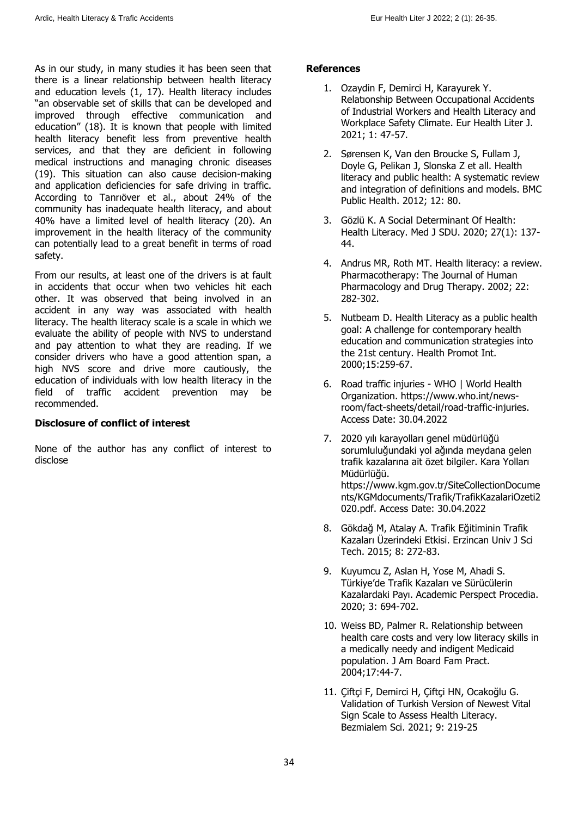As in our study, in many studies it has been seen that there is a linear relationship between health literacy and education levels (1, 17). Health literacy includes "an observable set of skills that can be developed and improved through effective communication and education" (18). It is known that people with limited health literacy benefit less from preventive health services, and that they are deficient in following medical instructions and managing chronic diseases (19). This situation can also cause decision-making and application deficiencies for safe driving in traffic. According to Tanrıöver et al., about 24% of the community has inadequate health literacy, and about 40% have a limited level of health literacy (20). An improvement in the health literacy of the community can potentially lead to a great benefit in terms of road safety.

From our results, at least one of the drivers is at fault in accidents that occur when two vehicles hit each other. It was observed that being involved in an accident in any way was associated with health literacy. The health literacy scale is a scale in which we evaluate the ability of people with NVS to understand and pay attention to what they are reading. If we consider drivers who have a good attention span, a high NVS score and drive more cautiously, the education of individuals with low health literacy in the field of traffic accident prevention may be recommended.

#### **Disclosure of conflict of interest**

None of the author has any conflict of interest to disclose

## **References**

- 1. Ozaydin F, Demirci H, Karayurek Y. Relatıonship Between Occupational Accidents of Industrial Workers and Health Literacy and Workplace Safety Climate. Eur Health Liter J. 2021; 1: 47-57.
- 2. Sørensen K, Van den Broucke S, Fullam J, Doyle G, Pelikan J, Slonska Z et all. Health literacy and public health: A systematic review and integration of definitions and models. BMC Public Health. 2012; 12: 80.
- 3. Gözlü K. A Social Determinant Of Health: Health Literacy. Med J SDU. 2020; 27(1): 137- 44.
- 4. Andrus MR, Roth MT. Health literacy: a review. Pharmacotherapy: The Journal of Human Pharmacology and Drug Therapy. 2002; 22: 282-302.
- 5. Nutbeam D. Health Literacy as a public health goal: A challenge for contemporary health education and communication strategies into the 21st century. Health Promot Int. 2000;15:259-67.
- 6. Road traffic injuries WHO | World Health Organization. https://www.who.int/newsroom/fact-sheets/detail/road-traffic-injuries. Access Date: 30.04.2022
- 7. 2020 yılı karayolları genel müdürlüğü sorumluluğundaki yol ağında meydana gelen trafik kazalarına ait özet bilgiler. Kara Yolları Müdürlüğü. https://www.kgm.gov.tr/SiteCollectionDocume nts/KGMdocuments/Trafik/TrafikKazalariOzeti2 020.pdf. Access Date: 30.04.2022
- 8. Gökdağ M, Atalay A. Trafik Eğitiminin Trafik Kazaları Üzerindeki Etkisi. Erzincan Univ J Sci Tech. 2015; 8: 272-83.
- 9. Kuyumcu Z, Aslan H, Yose M, Ahadi S. Türkiye'de Trafik Kazaları ve Sürücülerin Kazalardaki Payı. Academic Perspect Procedia. 2020; 3: 694-702.
- 10. Weiss BD, Palmer R. Relationship between health care costs and very low literacy skills in a medically needy and indigent Medicaid population. J Am Board Fam Pract. 2004;17:44-7.
- 11. Çiftçi F, Demirci H, Çiftçi HN, Ocakoğlu G. Validation of Turkish Version of Newest Vital Sign Scale to Assess Health Literacy. Bezmialem Sci. 2021; 9: 219-25